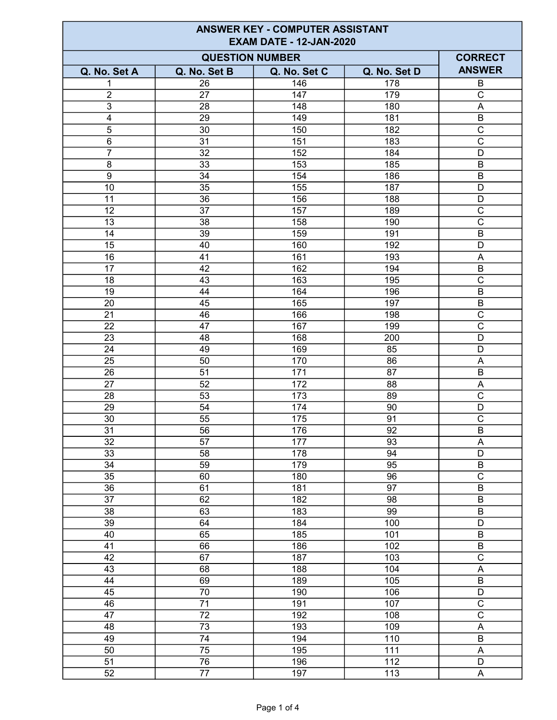| <b>ANSWER KEY - COMPUTER ASSISTANT</b><br><b>EXAM DATE - 12-JAN-2020</b> |                                        |              |                 |                                           |
|--------------------------------------------------------------------------|----------------------------------------|--------------|-----------------|-------------------------------------------|
|                                                                          | <b>CORRECT</b>                         |              |                 |                                           |
| Q. No. Set A                                                             | <b>QUESTION NUMBER</b><br>Q. No. Set B | Q. No. Set C | Q. No. Set D    | <b>ANSWER</b>                             |
| 1                                                                        | 26                                     | 146          | 178             | B                                         |
| $\overline{2}$                                                           | 27                                     | 147          | 179             | C                                         |
| 3                                                                        | 28                                     | 148          | 180             | A                                         |
| $\overline{\mathbf{4}}$                                                  | 29                                     | 149          | 181             | $\overline{B}$                            |
| 5                                                                        | 30                                     | 150          | 182             | $\overline{C}$                            |
| $\,6\,$                                                                  | 31                                     | 151          | 183             | $\overline{C}$                            |
| 7                                                                        | 32                                     | 152          | 184             | D                                         |
| 8                                                                        | 33                                     | 153          | 185             | $\sf B$                                   |
| $\boldsymbol{9}$                                                         | 34                                     | 154          | 186             | $\mathsf B$                               |
| 10                                                                       | 35                                     | 155          | 187             | D                                         |
| 11                                                                       | 36                                     | 156          | 188             | D                                         |
| 12                                                                       | 37                                     | 157          | 189             | $\mathsf{C}$                              |
| 13                                                                       | $\overline{38}$                        | 158          | 190             | $\overline{\mathsf{c}}$                   |
| 14                                                                       | 39                                     | 159          | 191             | B                                         |
| 15                                                                       | 40                                     | 160          | 192             | $\overline{D}$                            |
| 16                                                                       | 41                                     | 161          | 193             | A                                         |
| 17                                                                       | 42                                     | 162          | 194             | $\sf B$                                   |
| 18                                                                       | 43                                     | 163          | 195             | $\overline{\text{C}}$                     |
| 19                                                                       | 44                                     | 164          | 196             | B                                         |
| 20                                                                       | 45                                     | 165          | 197             | B                                         |
| 21                                                                       | 46                                     | 166          | 198             | $\mathsf{C}$                              |
| 22                                                                       | 47                                     | 167          | 199             | $\mathsf{C}$                              |
| 23                                                                       | 48                                     | 168          | 200             | D                                         |
| 24                                                                       | 49                                     | 169          | 85              | D                                         |
| 25                                                                       | 50                                     | 170          | 86              | A                                         |
| 26                                                                       | 51                                     | 171          | 87              | $\sf B$                                   |
| 27                                                                       | 52                                     | 172          | 88              | Α                                         |
| 28                                                                       | 53                                     | 173          | 89              | $\overline{\mathsf{C}}$                   |
| 29                                                                       | 54                                     | 174          | 90              | D                                         |
| 30                                                                       | 55                                     | 175          | 91              | $\overline{C}$                            |
| 31                                                                       | 56                                     | 176          | 92              | $\overline{B}$                            |
| 32                                                                       | 57                                     | 177          | 93              | A                                         |
| 33                                                                       | $\overline{58}$                        | 178          | 94              | D                                         |
| $\overline{34}$                                                          | 59                                     | 179          | 95              | $\sf B$                                   |
| 35                                                                       | 60                                     | 180          | 96              | $\overline{\mathrm{c}}$                   |
| $\overline{36}$                                                          | 61                                     | 181          | $\overline{97}$ | $\overline{B}$                            |
| 37                                                                       | 62                                     | 182          | 98              | $\overline{B}$                            |
| $\overline{38}$                                                          | 63                                     | 183          | 99              | $\overline{B}$                            |
| $\overline{39}$                                                          | 64                                     | 184          | 100             | $\overline{D}$                            |
| 40                                                                       | 65                                     | 185          | 101             | $\overline{B}$                            |
| $\overline{41}$                                                          | 66                                     | 186          | 102             | $\overline{B}$                            |
| $\overline{42}$                                                          | 67                                     | 187          | 103             | $\overline{\mathrm{c}}$                   |
| 43                                                                       | 68                                     | 188          | 104             | A                                         |
| 44                                                                       | 69                                     | 189          | 105             | $\overline{B}$                            |
| 45                                                                       | $\overline{70}$                        | 190          | 106             | $\overline{D}$                            |
| 46                                                                       | $\overline{71}$                        | 191          | 107             | $\overline{\text{c}}$                     |
| 47                                                                       | $\overline{72}$                        | 192          | 108             | $\overline{\text{c}}$                     |
| $\overline{48}$                                                          | $\overline{73}$                        | 193          | 109             | A                                         |
| 49                                                                       | $\overline{74}$                        | 194          | 110             | $\overline{B}$                            |
| $\overline{50}$<br>$\overline{51}$                                       | $\overline{75}$                        | 195          | 111<br>112      | $\overline{\mathsf{A}}$<br>$\overline{D}$ |
|                                                                          | 76                                     | 196          |                 |                                           |
| 52                                                                       | $\overline{77}$                        | 197          | 113             | $\overline{\mathsf{A}}$                   |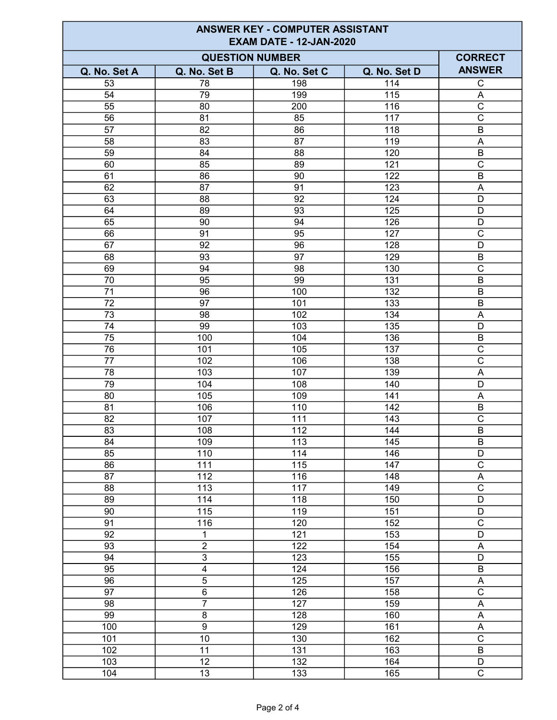| <b>ANSWER KEY - COMPUTER ASSISTANT</b><br><b>EXAM DATE - 12-JAN-2020</b> |                                        |                          |                  |                           |
|--------------------------------------------------------------------------|----------------------------------------|--------------------------|------------------|---------------------------|
|                                                                          | <b>CORRECT</b>                         |                          |                  |                           |
| Q. No. Set A                                                             | <b>QUESTION NUMBER</b><br>Q. No. Set B | Q. No. Set C             | Q. No. Set D     | <b>ANSWER</b>             |
| 53                                                                       | 78                                     | 198                      | 114              | C                         |
| 54                                                                       | 79                                     | 199                      | 115              | A                         |
| 55                                                                       | 80                                     | 200                      | 116              | $\overline{\mathrm{c}}$   |
| 56                                                                       | 81                                     | 85                       | 117              | $\overline{C}$            |
| 57                                                                       | 82                                     | 86                       | 118              | B                         |
| 58                                                                       | 83                                     | 87                       | 119              | $\mathsf A$               |
| 59                                                                       | 84                                     | 88                       | 120              | $\sf B$                   |
| 60                                                                       | 85                                     | 89                       | 121              | $\mathsf C$               |
| 61                                                                       | 86                                     | 90                       | 122              | $\sf B$                   |
| 62                                                                       | 87                                     | 91                       | 123              | A                         |
| 63                                                                       | 88                                     | 92                       | 124              | D                         |
| 64                                                                       | 89                                     | 93                       | 125              | D                         |
| 65                                                                       | 90                                     | 94                       | 126              | D                         |
| 66                                                                       | 91                                     | 95                       | 127              | $\overline{\text{c}}$     |
| 67                                                                       | 92                                     | 96                       | 128              | $\overline{D}$            |
| 68                                                                       | 93                                     | 97                       | 129              | $\sf B$                   |
| 69                                                                       | 94                                     | 98                       | 130              | $\overline{C}$            |
| 70                                                                       | 95                                     | 99                       | 131              | $\sf B$                   |
| 71                                                                       | 96                                     | 100                      | 132              | B                         |
| 72                                                                       | 97                                     | 101                      | 133              | B                         |
| 73                                                                       | 98                                     | 102                      | 134              | A                         |
| 74                                                                       | 99                                     | 103                      | 135              | D                         |
| $\overline{75}$                                                          | 100                                    | 104                      | 136              | $\sf B$                   |
| 76                                                                       | 101                                    | 105                      | 137              | $\mathsf C$               |
| 77                                                                       | 102                                    | 106                      | 138              | $\overline{\text{c}}$     |
| 78                                                                       | 103                                    | 107                      | 139              | Α                         |
| 79                                                                       | 104                                    | 108                      | 140              | D                         |
| 80                                                                       | 105                                    | 109                      | 141              | A                         |
| 81                                                                       | 106                                    | 110                      | 142              | B                         |
| 82<br>83                                                                 | 107                                    | 111<br>$\frac{112}{112}$ | 143<br>144       | $\overline{C}$            |
| 84                                                                       | 108<br>109                             | 113                      | 145              | $\overline{B}$<br>$\sf B$ |
| 85                                                                       | 110                                    | 114                      | 146              | D                         |
| 86                                                                       | 111                                    | 115                      | 147              | $\overline{\mathrm{C}}$   |
| 87                                                                       | 112                                    | 116                      | 148              | A                         |
| 88                                                                       | 113                                    | 117                      | 149              | $\overline{\text{c}}$     |
| 89                                                                       | 114                                    | 118                      | 150              | D                         |
| $\overline{90}$                                                          | $\frac{115}{115}$                      | 119                      | 151              | $\overline{D}$            |
| $\overline{91}$                                                          | 116                                    | 120                      | $\overline{152}$ | $\overline{\text{c}}$     |
| $\overline{92}$                                                          | $\mathbf 1$                            | 121                      | 153              | $\overline{\mathsf{D}}$   |
| $\overline{93}$                                                          | $\overline{2}$                         | 122                      | 154              | $\overline{\mathsf{A}}$   |
| 94                                                                       | $\overline{3}$                         | 123                      | 155              | $\overline{\mathsf{D}}$   |
| $\overline{95}$                                                          | $\overline{\mathbf{4}}$                | 124                      | 156              | $\sf B$                   |
| 96                                                                       | $\overline{5}$                         | 125                      | 157              | $\boldsymbol{\mathsf{A}}$ |
| $\overline{97}$                                                          | $\overline{6}$                         | 126                      | 158              | $\overline{\text{c}}$     |
| 98                                                                       | $\overline{7}$                         | 127                      | 159              | $\boldsymbol{\mathsf{A}}$ |
| $\overline{99}$                                                          | $\overline{8}$                         | 128                      | 160              | $\boldsymbol{\mathsf{A}}$ |
| 100                                                                      | $\overline{9}$                         | 129                      | 161              | $\boldsymbol{\mathsf{A}}$ |
| 101                                                                      | 10                                     | 130                      | 162              | $\overline{C}$            |
| 102                                                                      | 11                                     | 131                      | 163              | $\overline{B}$            |
| 103                                                                      | 12                                     | 132                      | 164              | D                         |
| 104                                                                      | 13                                     | 133                      | 165              | $\overline{\text{c}}$     |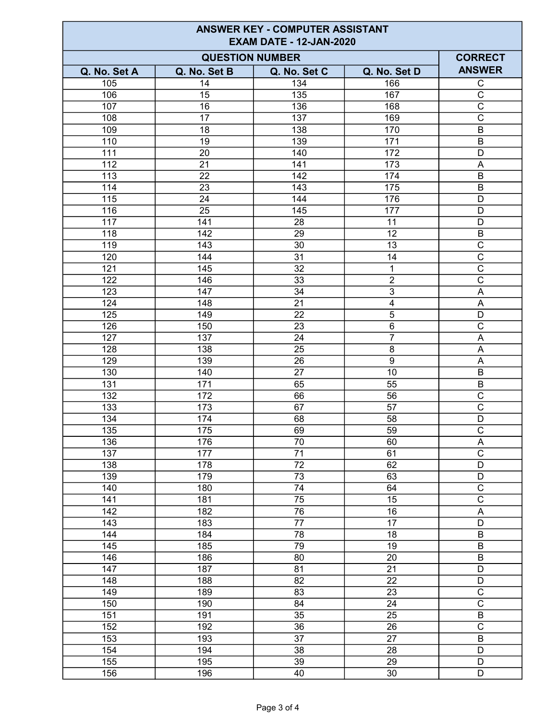| <b>ANSWER KEY - COMPUTER ASSISTANT</b><br><b>EXAM DATE - 12-JAN-2020</b> |                  |                 |                 |                                           |
|--------------------------------------------------------------------------|------------------|-----------------|-----------------|-------------------------------------------|
| <b>QUESTION NUMBER</b>                                                   |                  |                 |                 | <b>CORRECT</b>                            |
| Q. No. Set A                                                             | Q. No. Set B     | Q. No. Set C    | Q. No. Set D    | <b>ANSWER</b>                             |
| 105                                                                      | 14               | 134             | 166             | $\overline{C}$                            |
| 106                                                                      | 15               | 135             | 167             | $\overline{C}$                            |
| 107                                                                      | 16               | 136             | 168             | $\overline{\text{c}}$                     |
| 108                                                                      | 17               | 137             | 169             | $\overline{\text{c}}$                     |
| 109                                                                      | 18               | 138             | 170             | $\overline{B}$                            |
| 110                                                                      | 19               | 139             | 171             | $\sf B$                                   |
| 111                                                                      | 20               | 140             | 172             | D                                         |
| 112                                                                      | 21               | 141             | 173             | A                                         |
| 113                                                                      | 22               | 142             | 174             | B                                         |
| 114                                                                      | 23               | 143             | 175             | B                                         |
| 115                                                                      | 24               | 144             | 176             | D                                         |
| 116                                                                      | 25               | 145             | 177             | D                                         |
| 117                                                                      | 141              | 28              | 11              | D                                         |
| 118                                                                      | 142              | 29              | 12              | $\overline{B}$                            |
| 119                                                                      | 143              | 30              | 13              | $\overline{\mathrm{c}}$                   |
| 120                                                                      | 144              | 31              | 14              | $\overline{\mathrm{c}}$                   |
| 121                                                                      | 145              | 32              | 1               | $\overline{C}$                            |
| 122                                                                      | 146              | 33              | $\overline{2}$  | $\overline{\text{C}}$                     |
| 123                                                                      | 147              | 34              | 3               | Α                                         |
| 124                                                                      | 148              | 21              | 4               | A                                         |
| 125                                                                      | 149              | 22              | 5               | D                                         |
| 126                                                                      | 150              | 23              | $\overline{6}$  | $\overline{\text{c}}$                     |
| 127                                                                      | 137              | 24              | 7               | Α                                         |
| 128                                                                      | 138              | 25              | 8               | A                                         |
| 129                                                                      | 139              | 26              | $\overline{9}$  | A                                         |
| 130                                                                      | 140              | 27              | 10              | $\overline{B}$                            |
| 131                                                                      | 171              | 65              | 55              | $\overline{B}$                            |
| 132                                                                      | 172              | 66              | 56              | $\overline{\text{c}}$                     |
| 133                                                                      | 173              | 67              | 57              | $\overline{\text{c}}$                     |
| 134                                                                      | 174              | 68              | 58              | D                                         |
| $\overline{135}$                                                         | $\overline{175}$ | 69              | 59              | $\overline{C}$                            |
| 136                                                                      | 176              | 70              | 60              | $\overline{A}$                            |
| 137                                                                      | 177              | 71              | 61              | $\overline{\text{c}}$                     |
| 138                                                                      | 178              | 72              | 62              | D                                         |
| 139                                                                      | 179              | $\overline{73}$ | 63              | $\overline{D}$                            |
| 140                                                                      | 180              | 74              | 64              | $\overline{\text{c}}$                     |
| 141                                                                      | 181              | $\overline{75}$ | $\overline{15}$ | $\overline{\text{c}}$                     |
| 142                                                                      | 182              | 76              | 16              | $\overline{A}$                            |
| 143                                                                      | 183              | $\overline{77}$ | $\overline{17}$ | $\overline{D}$                            |
| 144                                                                      | 184              | $\overline{78}$ | $\overline{18}$ | $\overline{B}$                            |
| 145                                                                      | 185              | 79              | 19              | $\overline{\mathsf{B}}$                   |
| 146                                                                      | 186              | 80              | 20              | $\sf B$                                   |
| 147                                                                      | 187              | 81              | 21              | D                                         |
| 148                                                                      | 188              | 82              | 22              | $\overline{D}$                            |
| 149                                                                      | 189              | 83              | 23              | $\overline{\text{c}}$                     |
| 150                                                                      | 190              | 84              | 24              | $\overline{\text{c}}$                     |
| 151<br>152                                                               | 191              | $\overline{35}$ | $\overline{25}$ | $\overline{B}$<br>$\overline{\mathrm{c}}$ |
| 153                                                                      | 192              | 36<br>37        | 26<br>27        | $\overline{B}$                            |
| 154                                                                      | 193<br>194       | $\overline{38}$ | 28              | $\overline{D}$                            |
| 155                                                                      | 195              | $\overline{39}$ | $\overline{29}$ | $\overline{D}$                            |
|                                                                          |                  | 40              | 30              | $\overline{D}$                            |
| 156                                                                      | 196              |                 |                 |                                           |